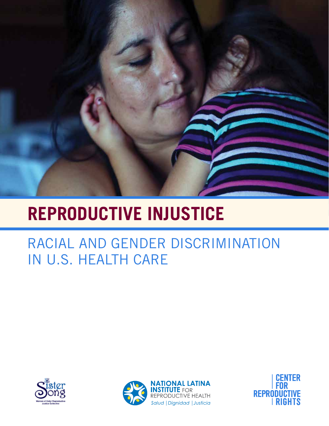

# **REPRODUCTIVE INJUSTICE**

# RACIAL AND GENDER DISCRIMINATION IN U.S. HEALTH CARE





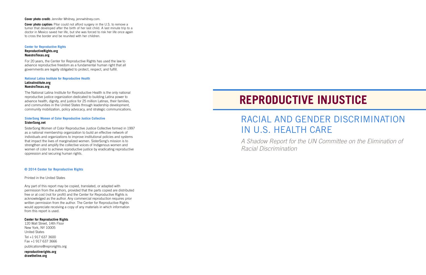# RACIAL AND GENDER DISCRIMINATION IN U.S. HEALTH CARE

# **REPRODUCTIVE INJUSTICE**

*A Shadow Report for the UN Committee on the Elimination of Racial Discrimination* 

**Cover photo credit:** Jennifer Whitney, jennwhitney.com.

**Cover photo caption:** Pilar could not afford surgery in the U.S. to remove a tumor that developed after the birth of her last child. A last minute trip to a doctor in Mexico saved her life, but she was forced to risk her life once again to cross the border and be reunited with her children.

## **Center for Reproductive Rights**

## **ReproductiveRights.org NuestroTexas.org**

For 20 years, the Center for Reproductive Rights has used the law to advance reproductive freedom as a fundamental human right that all governments are legally obligated to protect, respect, and fulfill.

### **National Latina Institute for Reproductive Health**

### **LatinaInstitute.org NuestroTexas.org**

The National Latina Institute for Reproductive Health is the only national reproductive justice organization dedicated to building Latina power to advance health, dignity, and justice for 25 million Latinas, their families, and communities in the United States through leadership development, community mobilization, policy advocacy, and strategic communications.

## **SisterSong Women of Color Reproductive Justice Collective SisterSong.net**

SisterSong Women of Color Reproductive Justice Collective formed in 1997 as a national membership organization to build an effective network of individuals and organizations to improve institutional policies and systems that impact the lives of marginalized women. SisterSong's mission is to strengthen and amplify the collective voices of Indigenous women and women of color to achieve reproductive justice by eradicating reproductive oppression and securing human rights.

## **© 2014 Center for Reproductive Rights**

Printed in the United States

Any part of this report may be copied, translated, or adapted with permission from the authors, provided that the parts copied are distributed free or at cost (not for profit) and the Center for Reproductive Rights is acknowledged as the author. Any commercial reproduction requires prior written permission from the author. The Center for Reproductive Rights would appreciate receiving a copy of any materials in which information from this report is used.

## **Center for Reproductive Rights**

120 Wall Street, 14th Floor New York, NY 10005 United States

Tel +1 917 637 3600 Fax +1 917 637 3666

publications@reprorights.org

**reproductiverights.org drawtheline.org**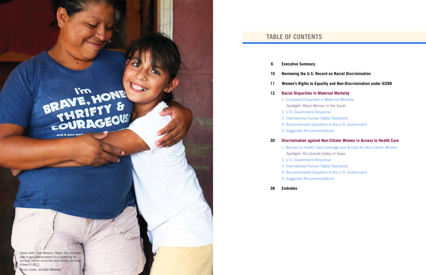## **TABLE OF CONTENTS**

## **10 Reviewing the U.S. Record on Racial Discrimination**

## **11 Women's Rights to Equality and Non-Discrimination under ICERD**

## **12 Racial Disparities in Maternal Mortality**

- **6 Executive Summary**
- 
- 
- -
	- 2. U.S. Government Response
	-
	-
	- 5. Suggested Recommendations

1. Increased Disparities in Maternal Mortality *Spotlight: Black Women in the South* 3. International Human Rights Standards 4. Recommended Questions to the U.S. Government

## **30 Discrimination against Non-Citizen Women in Access to Health Care**

1. Barriers to Health Care Coverage and Access for Non-Citizen Women *Spotlight: Rio Grande Valley of Texas* 3. International Human Rights Standards 4. Recommended Questions to the U.S. Government

- -
- 2. U.S. Government Response
- 
- 
- 5. Suggested Recommendations
- **38 Endnotes**

*Sylvia (left), from Mission, Texas, has not been able to get contraception or a screening for cervical cancer since the local family planning closed in 2011.* 

BRAVE, HONE

and if you be"

*Photo Credit: Jennifer Whitney*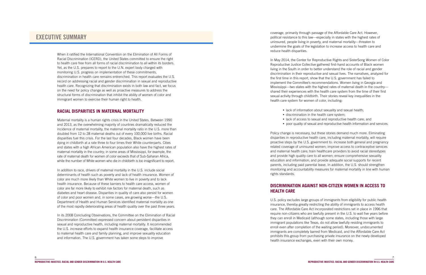coverage, primarily through passage of the Affordable Care Act. However, political resistance to this law—especially in states with the highest rates of uninsured, people living in poverty, and maternal mortality—threaten to undermine the goals of the legislation to increase access to health care and reduce health disparities.

- lack of information about sexuality and sexual health;
- lack of access to sexual and reproductive health care; and
- poor quality of sexual and reproductive health information and services.

In May 2014, the Center for Reproductive Rights and SisterSong Women of Color Reproductive Justice Collective gathered first-hand accounts of Black women living in the South in order to better understand the role of racial and gender discrimination in their reproductive and sexual lives. The narratives, analyzed for the first time in this report, show that the U.S. government has failed to implement the Committee's recommendations. Women living in Georgia and Mississippi—two states with the highest rates of maternal death in the country shared their experiences with the health care system from the time of their first sexual activity through childbirth. Their stories reveal key inequalities in the health care system for women of color, including:

- 
- discrimination in the health care system;
- 
- 

Policy change is necessary, but these stories demand much more. Eliminating disparities in reproductive health care, including maternal mortality, will require proactive steps by the U.S. government to: increase both general and pregnancy related coverage of uninsured women; improve access to contraceptive services and maternal health care; train healthcare providers to avoid racial stereotypes and provide high quality care to all women; ensure comprehensive sexuality education and information; and provide adequate social supports for recent parents, including paid parental leave. In addition, the U.S. should strengthen monitoring and accountability measures for maternal mortality in line with human rights standards.

## **DISCRIMINATION AGAINST NON-CITIZEN WOMEN IN ACCESS TO HEALTH CARE**

U.S. policy excludes large groups of immigrants from eligibility for public health insurance, thereby greatly restricting the ability of immigrants to access health care. The Affordable Care Act incorporated restrictions set in place in 1996 that require non-citizens who are lawfully present in the U.S. to wait five years before they can enroll in Medicaid (although some states, including those with large immigrant populations like Texas, do not allow lawfully residing immigrants to enroll even after completion of the waiting period). Moreover, undocumented immigrants are completely barred from Medicaid, and the Affordable Care Act prohibits this group from purchasing private insurance on the newly developed health insurance exchanges, even with their own money.

## **EXECUTIVE SUMMARY**

When it ratified the International Convention on the Elimination of All Forms of Racial Discrimination (ICERD), the United States committed to ensure the right to health care free from all forms of racial discrimination to all within its borders. Yet, as the U.S. prepares to report to the U.N. expert body charged with monitoring U.S. progress on implementation of these commitments, discrimination in health care remains entrenched. This report evaluates the U.S. record on addressing racial and gender discrimination in sexual and reproductive health care. Recognizing that discrimination exists in both law and fact, we focus on the need for policy change as well as proactive measures to address the structural forms of discrimination that inhibit the ability of women of color and immigrant women to exercise their human right to health.

## **RACIAL DISPARITIES IN MATERNAL MORTALITY**

Maternal mortality is a human rights crisis in the United States. Between 1990 and 2013, as the overwhelming majority of countries dramatically reduced the incidence of maternal mortality, the maternal mortality ratio in the U.S. more than doubled from 12 to 28 maternal deaths out of every 100,000 live births. Racial disparities fuel this crisis. For the last four decades, Black women have been dying in childbirth at a rate three to four times their White counterparts. Cities and states with a high African American population also have the highest rates of maternal mortality in the country; in some areas of Mississippi, for example, the rate of maternal death for women of color exceeds that of Sub-Saharan Africa, while the number of White women who die in childbirth is too insignificant to report.

In addition to race, drivers of maternal mortality in the U.S. include social determinants of health such as poverty and lack of health insurance. Women of color are much more likely than White women to live in poverty and to lack health insurance. Because of these barriers to health care access, women of color are far more likely to exhibit risk factors for maternal death, such as diabetes and heart disease. Disparities in quality of care also persist for women of color and poor women and, in some cases, are growing worse—the U.S. Department of Health and Human Services identified maternal mortality as one of the most rapidly deteriorating areas of health quality over the past three years.

In its 2008 Concluding Observations, the Committee on the Elimination of Racial Discrimination (Committee) expressed concern about persistent disparities in sexual and reproductive health, including maternal mortality. It recommended the U.S. increase efforts to expand health insurance coverage, facilitate access to maternal health care and family planning, and improve sexuality education and information. The U.S. government has taken some steps to improve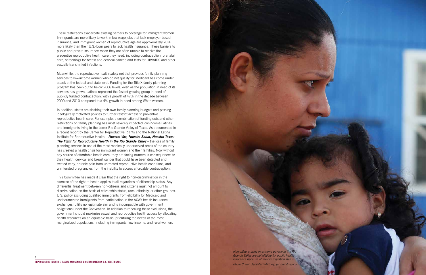

These restrictions exacerbate existing barriers to coverage for immigrant women. Immigrants are more likely to work in low-wage jobs that lack employer-based insurance, and immigrant women of reproductive age are approximately 70% more likely than their U.S.-born peers to lack health insurance. These barriers to public and private insurance mean they are often unable to receive the preventive reproductive health care they need, including contraception, prenatal care, screenings for breast and cervical cancer, and tests for HIV/AIDS and other sexually transmitted infections.

Meanwhile, the reproductive health safety net that provides family planning services to low-income women who do not qualify for Medicaid has come under attack at the federal and state level. Funding for the Title X family planning program has been cut to below 2008 levels, even as the population in need of its services has grown. Latinas represent the fastest growing group in need of publicly funded contraception, with a growth of 47% in the decade between 2000 and 2010 compared to a 4% growth in need among White women.

In addition, states are slashing their own family planning budgets and passing ideologically motivated policies to further restrict access to preventive reproductive health care. For example, a combination of funding cuts and other restrictions on family planning has most severely impacted low-income Latinas and immigrants living in the Lower Rio Grande Valley of Texas. As documented in a recent report by the Center for Reproductive Rights and the National Latina Institute for Reproductive Health – *Nuestra Voz, Nuestra Salud, Nuestro Texas:*  **The Fight for Reproductive Health in the Rio Grande Valley** – the loss of family planning services in one of the most medically underserved areas of the country has created a health crisis for immigrant women and their families. Now without any source of affordable health care, they are facing numerous consequences to their health: cervical and breast cancer that could have been detected and treated early, chronic pain from untreated reproductive health conditions, and unintended pregnancies from the inability to access affordable contraception.

This Committee has made it clear that the right to non-discrimination in the exercise of the right to health applies to all regardless of citizenship status. Any differential treatment between non-citizens and citizens must not amount to discrimination on the basis of citizenship status, race, ethnicity, or other grounds. U.S. policy excluding qualified immigrants from eligibility for Medicaid and undocumented immigrants from participation in the ACA's health insurance exchanges fulfills no legitimate aim and is incompatible with government obligations under the Convention. In addition to repealing these exclusions, the government should maximize sexual and reproductive health access by allocating health resources on an equitable basis, prioritizing the needs of the most marginalized populations, including immigrants, low-income, and rural women.

> *Non-citizens living in extreme poverty in the Rio Grande Valley are not eligible for public health insurance because of their immigration status. Photo Credit: Jennifer Whitney*, *jennwhitney.com.*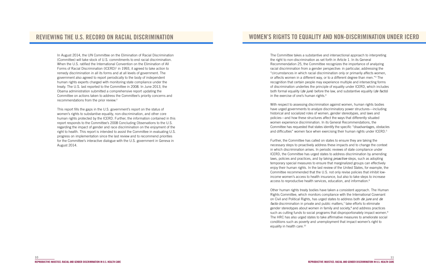The Committee takes a substantive and intersectional approach to interpreting the right to non-discrimination as set forth in Article 1. In its General Recommendation 25, the Committee recognizes the importance of analyzing racial discrimination from a gender perspective: in particular, addressing the "circumstances in which racial discrimination only or primarily affects women, or affects women in a different way, or to a different degree than men."<sup>3</sup> The recognition that certain people may experience multiple and intersecting forms of discrimination underlies the principle of equality under ICERD, which includes both formal equality (*de jure*) before the law, and substantive equality (*de facto*) in the exercise of one's human rights.4

With respect to assessing discrimination against women, human rights bodies have urged governments to analyze discriminatory power structures—including historical and socialized roles of women, gender stereotypes, and laws and policies—and how these structures affect the ways that differently situated women experience discrimination. In its General Recommendations, the Committee has requested that states identify the specific "disadvantages, obstacles and difficulties" women face when exercising their human rights under ICERD.<sup>5</sup>

Further, the Committee has called on states to ensure they are taking the necessary steps to proactively address these impacts and to change the context in which discrimination arises. In periodic reviews of state compliance under ICERD, the Committee has urged states to address discrimination by amending laws, policies and practices, and by taking *proactive* steps, such as adopting temporary special measures to ensure that marginalized groups can effectively enjoy their human rights. In the last review of the United States, for example, the Committee recommended that the U.S. not only revise policies that inhibit lowincome women's access to health insurance, but also to take steps to increase access to reproductive health services, education, and information.<sup>6</sup>

Other human rights treaty bodies have taken a consistent approach. The Human Rights Committee, which monitors compliance with the International Covenant on Civil and Political Rights, has urged states to address both *de jure* and *de*  facto discrimination in private and public matters,<sup>7</sup> take efforts to eliminate gender stereotypes about women in family and society,<sup>8</sup> and address practices such as cutting funds to social programs that disproportionately impact women.<sup>9</sup> The HRC has also urged states to take affirmative measures to ameliorate social conditions such as poverty and unemployment that impact women's right to equality in health care.<sup>10</sup>

## **WOMEN'S RIGHTS TO EQUALITY AND NON-DISCRIMINATION UNDER ICERD**

In August 2014, the UN Committee on the Elimination of Racial Discrimination (Committee) will take stock of U.S. commitments to end racial discrimination. When the U.S. ratified the International Convention on the Elimination of All Forms of Racial Discrimination (ICERD)<sup>1</sup> in 1993, it agreed to take action to remedy discrimination in all its forms and at all levels of government. The government also agreed to report periodically to the body of independent human rights experts charged with monitoring state compliance under the treaty. The U.S. last reported to the Committee in 2008. In June 2013, the Obama administration submitted a comprehensive report updating the Committee on actions taken to address the Committee's priority concerns and recommendations from the prior review.2

This report fills the gaps in the U.S. government's report on the status of women's rights to substantive equality, non-discrimination, and other core human rights protected by the ICERD. Further, the information contained in this report responds to the Committee's 2008 Concluding Observations to the U.S. regarding the impact of gender and race discrimination on the enjoyment of the right to health. This report is intended to assist the Committee in evaluating U.S. progress on implementation since the last review and to recommend priorities for the Committee's interactive dialogue with the U.S. government in Geneva in August 2014.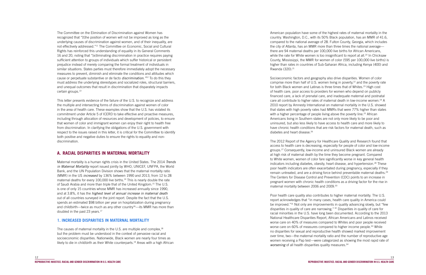American population have some of the highest rates of maternal mortality in the country. Washington, D.C., with its 50% Black population, has an MMR of 41.6, compared to the national average of 28. Fulton County, Georgia, which includes the city of Atlanta, has an MMR more than three times the national average there are 94 maternal deaths per 100,000 live births for African Americans, while the rate for White women is too insignificant to report at all.<sup>20</sup> In Chicksaw County, Mississippi, the MMR for women of color (595 per 100,000 live births) is higher than rates in countries of Sub-Saharan Africa, including Kenya (400) and Rwanda (320).<sup>21</sup>

Socioeconomic factors and geography also drive disparities. Women of color comprise more than half of U.S. women living in poverty, $22$  and the poverty rate for both Black women and Latinas is three times that of Whites.<sup>23</sup> High cost of health care, poor access to providers for women who depend on publicly financed care, a lack of prenatal care, and inadequate maternal and postnatal care all contribute to higher rates of maternal death in low-income women.24 A 2010 report by Amnesty International on maternal mortality in the U.S. showed that states with high poverty rates had MMRs that were 77% higher than states with a higher percentage of people living above the poverty line.<sup>25</sup> African Americans living in Southern states are not only more likely to be poor and uninsured, but also less likely to have access to health care and more likely to have chronic health conditions that are risk factors for maternal death, such as diabetes and heart disease.<sup>26</sup>

Poor health care quality also contributes to higher maternal mortality. The U.S. report acknowledges that "in many cases, health care quality in America could be improved."31 Not only are improvements in quality advancing slowly, but "few disparities in quality of care are narrowing." 32 Disparities in quality of care for racial minorities in the U.S. have long been documented. According to the 2013 National Healthcare Disparities Report, African Americans and Latinos received worse care on 40% of measures compared to Whites and poor people received worse care on 60% of measures compared to higher income people.<sup>33</sup> While no disparities for sexual and reproductive health showed marked improvement over time, two—the maternal mortality ratio and the number of reproductive age women receiving a Pap test—were categorized as showing the most rapid rate of *worsening* of all health disparities quality measures.<sup>34</sup>

The Committee on the Elimination of Discrimination against Women has recognized that "[t]he position of women will not be improved as long as the underlying causes of discrimination against women, and of their inequality, are not effectively addressed."11 The Committee on Economic, Social and Cultural Rights has reinforced this understanding of equality in its General Comments 16 and 20, noting that "[e]liminating discrimination in practice requires paying sufficient attention to groups of individuals which suffer historical or persistent prejudice instead of merely comparing the formal treatment of individuals in similar situations. States parties must therefore immediately adopt the necessary measures to prevent, diminish and eliminate the conditions and attitudes which cause or perpetuate substantive or de facto *discrimination."*12 To do this they must address the underlying stereotypes and socialized roles, structural barriers, and unequal outcomes that result in discrimination that disparately impacts certain groups.<sup>13</sup>

> The 2012 Report of the Agency for Healthcare Quality and Research found that access to health care is decreasing, especially for people of color and low-income groups.27 Consequently, low-income and uninsured Black women are already at high risk of maternal death by the time they become pregnant. Compared to White women, women of color fare significantly worse in key general health indicators including diabetes, obesity, heart disease, and hypertension.<sup>28</sup> These poor health indicators are often exacerbated during pregnancy, especially if they remain untreated, and are a driving force behind preventable maternal deaths.<sup>29</sup> The Centers for Disease Control and Prevention (CDC) points to an increase in pregnant women with chronic health conditions as a driving factor for the rise in maternal mortality between 2006 and 2009.30

This letter presents evidence of the failure of the U.S. to recognize and address the multiple and intersecting forms of discrimination against women of color in the area of health care. These examples show that the U.S. has violated its commitment under Article 5 of ICERD to take effective and proactive measures, including through allocation of resources and development of policies, to ensure that women of color and immigrant women can enjoy their right to health free from discrimination. In clarifying the obligations of the U.S. government with respect to the issues raised in this letter, it is critical for the Committee to identify both positive and negative duties to ensure the rights to equality and nondiscrimination.

## **A. RACIAL DISPARITIES IN MATERNAL MORTALITY**

Maternal mortality is a human rights crisis in the United States. The 2014 *Trends in Maternal Mortality* report issued jointly by WHO, UNICEF, UNFPA, the World Bank, and the UN Population Division shows that the maternal mortality ratio (MMR) in the US *increased* by 136% between 1990 and 2013, from 12 to 28 maternal deaths for every 100,000 live births.<sup>14</sup> This is nearly double the rate of Saudi Arabia and more than triple that of the United Kingdom.15 The U.S. is one of only 15 countries whose MMR has increased annually since 1990, and at 3.8%, it has the *highest level of annual increase in maternal death*  out of all countries surveyed in the joint report. Despite the fact that the U.S. spends an estimated \$98 billion per year on hospitalization during pregnancy and childbirth—twice as much as any other country $16$ —its MMR has more than doubled in the past 23 years.17

## **1. INCREASED DISPARITIES IN MATERNAL MORTALITY**

The causes of maternal mortality in the U.S. are multiple and complex,<sup>18</sup> but the problem must be understood in the context of pervasive racial and socioeconomic disparities. Nationwide, Black women are nearly four times as likely to die in childbirth as their White counterparts.<sup>19</sup> Areas with a high African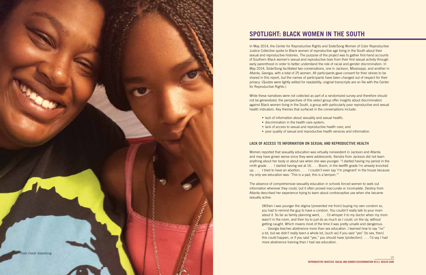15

## **SPOTLIGHT: BLACK WOMEN IN THE SOUTH**

In May 2014, the Center for Reproductive Rights and SisterSong Women of Color Reproductive Justice Collective spoke to Black women of reproductive age living in the South about their sexual and reproductive histories. The purpose of the project was to gather first-hand accounts of Southern Black women's sexual and reproductive lives from their first sexual activity through early parenthood in order to better understand the role of racial and gender discrimination. In May 2014, SisterSong facilitated two conversations, one in Jackson, Mississippi, and another in Atlanta, Georgia, with a total of 25 women. All participants gave consent for their stories to be shared in this report, but the names of participants have been changed out of respect for their privacy. (Quotes were lightly edited for readability; original transcripts are on file with the Center for Reproductive Rights.)

While these narratives were not collected as part of a randomized survey and therefore should not be generalized, the perspectives of this select group offer insights about discrimination against Black women living in the South, a group with particularly poor reproductive and sexual health indicators. Key themes that surfaced in the conversations include:

- lack of information about sexuality and sexual health;
- discrimination in the health care system;
- lack of access to sexual and reproductive health care; and
- poor quality of sexual and reproductive health services and information.

## **LACK OF ACCESS TO INFORMATION ON SEXUAL AND REPRODUCTIVE HEALTH**

Women reported that sexuality education was virtually nonexistent in Jackson and Atlanta and may have grown worse since they were adolescents. Kendra from Jackson did not learn anything about her body or about sex when she was younger. "I started having my period in the ninth grade . . . I started having sex at 16. . . . Boom, in the twelfth grade I'm already knocked up. . . . I tried to have an abortion. . . . I couldn't even say 'I'm pregnant' in the house because my only sex education was: 'This is a pad, this is a tampon.'"

The absence of comprehensive sexuality education in schools forced women to seek out information wherever they could, but it often proved inaccurate or incomplete. Destiny from Atlanta described her experience trying to learn about contraceptive use when she became sexually active:

[W]hen I was younger the stigma [prevented me from] buying my own condom so, you had to remind the guy to have a condom. You couldn't really talk to your mom about it. So far as family planning went, . . . I'd whisper it to my doctor when my mom wasn't in the room, and then try to just do as much as I could, on the sly, without getting caught. Which means most of the time it was pretty unsafe and dangerous. . . . Georgia teaches abstinence more than sex education. I learned how to say "no" a lot, but we didn't really learn a whole lot, [such as] if you said "yes" [to sex, then] this could happen, or if you said "yes," you should have [protection]. . . . I'd say I had more abstinence training than I had sex education.

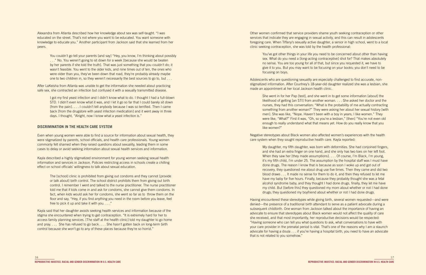Other women confirmed that service providers shame youth seeking contraception or other services that indicate they are engaging in sexual activity, and this can result in adolescents foregoing care. When Tiffany's sexually active daughter, a senior in high school, went to a local clinic seeking contraception, she was told by the health professional:

You've got other things in your life you need to be concerned about other than having sex. What do you need a [long-acting contraceptive] shot for? That makes absolutely no sense. You are too young for all of that, but since you requested it, we have to give it to you. But you may want to be focusing on your books; you don't need to be focusing on boys.

Adolescents who are questioning sexuality are especially challenged to find accurate, nonstigmatized information. After Courtney's 18-year-old daughter realized she was a lesbian, she made an appointment at her local Jackson health clinic.

She went in for her Pap [test], and she went in to get some information [about] the likelihood of getting [an STI] from another woman. . . . She asked her doctor and the nurses, they had this conversation: "What is the probability of me actually contracting something from another woman?" They were asking her about her sexual history [with men]. She was like, "Nope. Haven't been with a boy in years; I like women." They were like, "What?" First it was, "Oh, so you're a lesbian," [then] "You're not even old enough to really understand what that means yet. How do you really know that you like women?"

Negative stereotypes about Black women also affected women's experiences with the health care system when they sought reproductive health care. Kayla reported:

My daughter, my fifth daughter, was born with deformities. She had conjoined fingers, and she had an extra finger on one hand, and she only has two toes on her left foot. When they saw her [they made assumptions]. . . . Of course, I'm Black, I'm young, it's my fifth child, I'm under 25. The assumption by the hospital staff was I must have done drugs. The reason I know that is because as soon I woke up and got out of recovery, they questioned me about drug use five times. Then they came and did two blood draws . . . It made no sense for them to do it, and then they refused to let me have my baby for five hours. Finally, because they probably thought she was a fetal alcohol syndrome baby, and they thought I had done drugs, finally, they let me have my child. But [before this] they questioned my mom about whether or not I had done drugs; they questioned my boyfriend about whether or not I had done drugs.

Having encountered these stereotypes while giving birth, several women requested—and were denied—the presence of a traditional birth attendant to serve as a patient advocate during a subsequent childbirth. One woman from Jackson talked about the importance of having an advocate to ensure that stereotypes about Black women would not affect the quality of care she received, and that most importantly, her reproductive decisions would be respected: "Having someone who can tell you what questions to ask, what conversations to have with your care provider in the prenatal period is vital. That's one of the reasons why I am a staunch advocate for having a doula . . . if you're having a hospital birth, you need to have an advocate that is not related to you somehow."

Alexandra from Atlanta described how her knowledge about sex was self-taught. "I was educated on the street. That's not where you want to be educated. You want someone with knowledge to educate you." Another participant from Jackson said that she learned from her peers.

You couldn't go tell your parents [and say] "Hey, you know, I'm thinking about possibly . . ." No. You weren't going to sit down for a week [because she would be beaten by her parents if she told the truth]. That was just something that you couldn't do; it wasn't feasible. You went to the older kids, and nine times out of ten, the ones who were older than you, they've been down that road, they're probably already maybe one to two children in, so they weren't necessarily the best sources to go to, but . . .

After LaKeisha from Atlanta was unable to get the information she needed about practicing safe sex, she contracted an infection but confused it with a sexually transmitted disease.

I got my first yeast infection and I didn't know what to do. I thought I had a full-blown STD. I didn't even know what it was, and I let it go so far that I could barely sit down [from the pain]. . . . I couldn't tell anybody because I was so terrified. Then I came back [from the drugstore with yeast infection medication] and it went away in three days. I thought, "Alright, now I know what a yeast infection is."

## **DISCRIMINATION IN THE HEALTH CARE SYSTEM**

Even when young women were able to find a source for information about sexual health, they were stigmatized by parents, school officials, and health care professionals. Young women commonly felt shamed when they raised questions about sexuality, leading them in some cases to delay or avoid seeking information about sexual health services and information.

Kayla described a highly stigmatized environment for young women seeking sexual health information and services in Jackson. Policies restricting access in schools create a chilling effect on school officials' willingness to talk about sexual education.

The [school] clinic is prohibited from giving out condoms and they cannot [provide or talk about] birth control. The school district prohibits them from giving out birth control. I remember I went and talked to the nurse practitioner. The nurse practitioner told me that if kids come in and ask for condoms, she cannot give them condoms. In fact, when kids would ask her for condoms, she went so far as to throw them on the floor and say, "Hey, if you find anything you need in the room before you leave, feel free to pick it up and take it with you. . . ."

Kayla said that her daughter avoids seeking health services and information because of the stigma she encountered when trying to get contraception. "It is extremely hard for her to access family planning services. [The staff at the health clinic] told my daughter to go home and pray. . . . She has refused to go back. . . . She hasn't gotten back on long-term birth control because she won't go to any of these places because they're so horrid."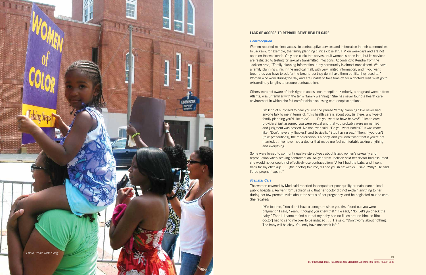## **LACK OF ACCESS TO REPRODUCTIVE HEALTH CARE**

## *Contraception*

Women reported minimal access to contraceptive services and information in their communities. In Jackson, for example, the family planning clinics close at 5 PM on weekdays and are not open on the weekends. Only one clinic that serves adult women is open late, but its services are restricted to testing for sexually transmitted infections. According to Kendra from the Jackson area, "Family planning information in my community is almost nonexistent. We have a family planning clinic in the medical mall, with very limited information, and if you want brochures you have to ask for the brochures; they don't have them out like they used to." Women who work during the day and are unable to take time off for a doctor's visit must go to extraordinary lengths to procure contraception.

Others were not aware of their right to access contraception. Kimberly, a pregnant woman from Atlanta, was unfamiliar with the term "family planning." She has never found a health care environment in which she felt comfortable discussing contraceptive options.

I'm kind of surprised to hear you use the phrase 'family planning.' I've never had anyone talk to me in terms of, "this health care is about you, [is there] any type of family planning you'd like to do? . . . Do you want to have babies?" [Health care providers] just assumed you were sexual and that you probably were unmarried and judgment was passed. No one ever said, "Do you want babies?" It was more like, "Don't have any [babies]" and basically, "Stop having sex." Then, if you don't [take precautions], the repercussion is a baby, and you don't want that if you're not married. . . I've never had a doctor that made me feel comfortable asking anything and everything.

Some were forced to confront negative stereotypes about Black women's sexuality and reproduction when seeking contraception. Aaliyah from Jackson said her doctor had assumed she would not or could not effectively use contraception: "After I had the baby, and I went back for my checkup . . . [the doctor] told me, 'I'll see you in six weeks.' I said, 'Why?' He said I'd be pregnant again."

### *Prenatal Care*

The women covered by Medicaid reported inadequate or poor quality prenatal care at local public hospitals. Aaliyah from Jackson said that her doctor did not explain anything to her during her few prenatal visits about the status of her pregnancy, and he neglected routine care. She recalled:

[H]e told me, "You didn't have a sonogram since you first found out you were pregnant." I said, "Yeah, I thought you knew that." He said, "No. Let's go check the baby." Then [I] came to find out that my baby had no fluids around him, so [the doctor] had to send me over to be induced . . . He said, "Don't worry about nothing. The baby will be okay. You only have one week left."

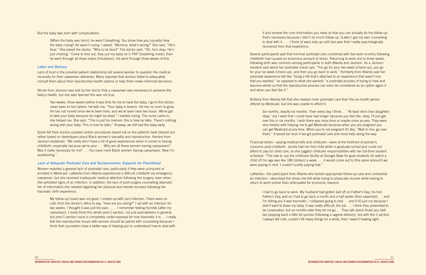it and receive the core information you need so that you can actually do the follow up that's necessary because I didn't do much follow up. [Later] I got my own counseling to deal with it. . . . I think [it was] only up until last year that I really psychologically recovered from that experience.

Several participants said that minimal postnatal care combined with fast work re-entry following childbirth had caused an enormous amount of stress. Returning to work one to three weeks following birth was common among participants in both Atlanta and Jackson. As a Jackson resident said about her postnatal check-ups: "You go for your two week [check-up], you go for your six week [check-up], and then you go back to work." Kimberly from Atlanta said her postnatal experience felt like "living a life that's attached to an experience that wasn't one that you wanted," as opposed to what she wanted: "a postnatal process of trying to heal and become whole so that the reproductive process can even be considered as an option again if and when you feel like it."

Brittany from Atlanta felt that she needed more postnatal care than the six-month period offered by Medicaid, but she was unable to afford it.

I had to go back to work. My husband had gotten laid off on Father's Day, his first Father's Day, and so I had to go back a month and a half earlier [than expected] . . . and I'm telling you it was traumatic. I collapsed going to bed. . . and [I'd] just cry because I didn't want to leave my baby. It was really difficult, the job . . . I think they pretended to be cooperative, but six months later they let me go. . . They talk about [how] you [will be] popping back a little bit quicker [following a vaginal delivery], but with the C-section I always felt cold, couldn't lift heavy things for a while, then I wasn't healing right.

Six months, exactly six months. Then every day I think. . . "At least she's [her daughter] okay," but I wish that I could have had longer because you feel like, okay, I'll just get over this in six months. I wish there was more time or maybe more access. They were very helpful with helping me to get Medicaid because when you are pregnant you can get Medicaid at any time. When you're not pregnant it's like, "Wait in line, go over there." It would be nicer if we got postnatal care and more help along the way.

Financial stress—paying medical bills and childcare—were at the forefront of women's concerns post-childbirth. Jamila had her first child while in graduate school and could not afford to pay for child care, so she juggled childcare responsibilities with her full-time student schedule. "The rate to use the childcare facility at Georgia State for grad students [to watch a child of] his age was like 180 [dollars] a week . . . it would come out to [the same amount] we were paying in rent. I couldn't justify paying that."

LaKeisha—the participant from Atlanta who lacked appropriate follow-up care and contracted an infection—described the stress she felt while trying to physically recover while having to return to work sooner than anticipated for economic reasons:

But the baby was born with complications:

[When the baby was born], he wasn't breathing. You know how you [usually] hear the baby crying? He wasn't crying. I asked, "Momma, what's wrong?" She said, "He's blue." She asked the doctor, "Why is he blue?" The doctor said, "Oh, he's okay. He's just choking." Come to find out, they put my baby on C-PAP [breathing mask], then he went through all these tubes [intubation]. He went through three weeks of this.

### *Labor and Delivery*

Lack of trust in the provider-patient relationship led several women to question the medical necessity for their caesarean deliveries. Many reported that doctors failed to adequately consult them about their reproductive health options or help them make informed decisions.

Nicole from Jackson was told by her doctor that a caesarean was necessary to preserve the baby's health, but she later learned this was not true.

Two weeks, three weeks before it was time for me to have the baby, I go to this doctor, never been to him before. He tells me, "Your baby is breech. He has no room to grow. He has not moved since we've been here, and we've been here two hours. We've got to take your baby because he might be dead." I started crying. The nurse came in; she helped me. She said, "This is just his manner; this is how he talks. There's nothing wrong with your baby. This is how he talks." Anyway, we still had the baby early.

Some felt their doctors pushed certain procedures based not on the patient's best interest but rather based on stereotypes about Black women's sexuality and reproduction. Kendra from Jackson explained: "We really don't have a lot of good experiences when it comes to having childbirth, especially because we're poor . . . Why are all these women having caesareans? Was it really necessary for me? . . . You have more Black women having caesareans. Now I'm questioning."

### *Lack of Adequate Postnatal Care and Socioeconomic Supports for Parenthood*

Women reported a general lack of postnatal care, particularly if they were uninsured or enrolled in Medicaid. LaKeisha from Atlanta experienced a difficult childbirth via emergency caesarean, but she received inadequate medical attention following the surgery, even when she exhibited signs of an infection. In addition, the lack of post-surgery counseling deprived her of information she needed regarding her physical and mental recovery following her traumatic birth experience.

My follow-up [care] was not good. I ended up with [an] infection. There were no calls from the doctor's office to say, "How are you doing?" I sat with an infection for two weeks. I thought it was just the pain. . . . I remember feeling horrible [after my caesarean]. I really think this whole post C-section, not just post-delivery in general, but post C-section issue is completely under-exposed for how traumatic it is. . . I really feel like reproductive issues with women should be paired with counseling because I think that counselors have a better way of helping you to understand how to deal with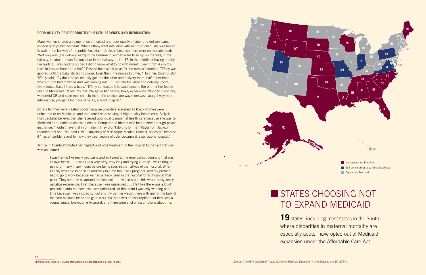## **POOR QUALITY OF REPRODUCTIVE HEALTH SERVICES AND INFORMATION**

Many women shared an experience of neglect and poor quality of labor and delivery care, especially at public hospitals. When Tiffany went into labor with her third child, she was forced to wait in the hallway of the public hospital in Jackson because there were no available beds. "Not only was [the delivery ward] in the basement, women were lined up on the wall, in the hallway, in labor, I mean full out labor in the hallway. . . I'm 17, in the middle of having a baby, I'm hurting. I was hurting so bad I didn't know what to do with myself. I went from 4 cm to 8 [cm] in less an hour and a half." Despite her sister's pleas for the nurses' attention, Tiffany was ignored until the baby started to crown. Even then, the nurses told her, "Hold her. Don't push." Tiffany said, "By the time we actually got into the labor and delivery room, half of her head was out. She had crowned and was coming out. . . . Got into the labor and delivery [room], five minutes [later] I had a baby." Tiffany contrasted this experience to the birth of her fourth child in Minnesota. "I had my last little girl in Minnesota; lovely experience. Wonderful doctors, wonderful OB and state medical. Up there, the choices are way more vast, you get way more information, you get a lot more services, a good hospital."

# STATES CHOOSING NOT TO EXPAND MEDICAID

Others felt they were treated poorly because providers assumed all Black women were uninsured or on Medicaid, and therefore less deserving of high quality health care. Aaliyah from Jackson believes that she received poor quality maternal health care because she was on Medicaid and unable to choose a doctor. Compared to friends who had doctors through private insurance, "I didn't have that information. They didn't do this for me." Kayla from Jackson reported that she "doubted UMC [University of Mississippi Medical Center], honestly," because it "has a horrible record for how they treat people of color because it is our public hospital."

> 19 states, including most states in the South, where disparities in maternal mortality are especially acute, have opted out of Medicaid expansion under the Affordable Care Act.

Jamila in Atlanta attributed her neglect and poor treatment in the hospital to the fact that she was uninsured.

I was having like really bad pains and so I went to the emergency room and that was its own beast . . . it was like a very, very, very long and trying journey. I was sitting in pains for many, many hours before being seen in the hallway of the hospital. When I finally was able to be seen and they told me that I was pregnant, and my partner had to go to work because we had already been in the hospital for 10 hours at that point. They sent me all around the hospital . . . I would say all this was a really, really negative experience. First, because I was uninsured . . . I felt like there was a lot of projection onto me because I was uninsured. At that point I was only working parttime because I was in grad school and my partner wasn't there with me for the bulk of the time because he had to go to work. So there was an assumption that here was a young, single, low-income [woman], and there were a lot of assumptions about me.



**Still considering expanding Medicaid Expanding Medicaid**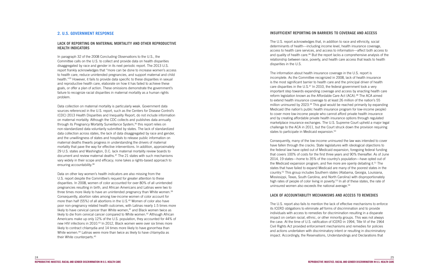## **INSUFFICIENT REPORTING ON BARRIERS TO COVERAGE AND ACCESS**

The information about health insurance coverage in the U.S. report is incomplete. As the Committee recognized in 2008, lack of health insurance is the most significant barrier to health care and the principal driver of health care disparities in the U.S.47 In 2010, the federal government took a very important step towards expanding coverage and access by enacting health care reform legislation known as the Affordable Care Act (ACA).<sup>48</sup> The ACA aimed to extend health insurance coverage to at least 26 million of the nation's 55 million uninsured by 2023.<sup>49</sup> This goal would be reached primarily by expanding Medicaid (the nation's public health insurance program for low-income people) to cover more low-income people who cannot afford private health insurance and by creating affordable private health insurance options through regulated marketplace insurance exchanges. The U.S. Supreme Court upheld a major legal challenge to the ACA in 2011, but the Court struck down the provision requiring states to participate in Medicaid expansion.<sup>50</sup>

The U.S. report acknowledges that, in addition to race and ethnicity, social determinants of health—including income level, health insurance coverage, access to health care services, and access to information—affect both access to and quality of health care.<sup>46</sup> But the report lacks a comprehensive analysis of the relationship between race, poverty, and health care access that leads to health disparities in the U.S.

Consequently, many of the low-income uninsured the law was intended to cover have fallen through the cracks. State legislatures with ideological objections to the federal law have opted out of Medicaid expansion, foregoing federal funding that covers 100% of costs for the first three years and 90% thereafter. As of June 2014, 19 states—home to 35% of the country's population—have opted out of the Medicaid expansion program, and five more are openly debating it.<sup>51</sup> The states that have failed to expand Medicaid are many of the poorest states in the country.52 This group includes Southern states (Alabama, Georgia, Louisiana, Mississippi, Texas, South Carolina, and North Carolina) with disproportionately high rates of people of color living in poverty.<sup>53</sup> In all of these states, the rate of uninsured women also exceeds the national average.<sup>54</sup>

## **LACK OF ACCOUNTABILITY MECHANISMS AND ACCESS TO REMEDIES**

The U.S. report also fails to mention the lack of effective mechanisms to enforce its ICERD obligations to eliminate *all* forms of discrimination and to provide individuals with access to remedies for discrimination resulting in a disparate impact on certain racial, ethnic, or other minority groups. This was not always the case. At the time of U.S. ratification of ICERD in 1994, Title VI of the 1964 Civil Rights Act provided enforcement mechanisms and remedies for policies and actions undertaken with discriminatory intent or resulting in discriminatory impact. Accordingly, the Reservations, Understandings and Declarations that

## **2. U.S. GOVERNMENT RESPONSE**

## **LACK OF REPORTING ON MATERNAL MORTALITY AND OTHER REPRODUCTIVE HEALTH INDICATORS**

In paragraph 32 of the 2008 Concluding Observations to the U.S., the Committee calls on the U.S. to collect and provide data on health disparities disaggregated by race and gender in its next periodic report. The 2013 U.S. report frankly acknowledges that "more can be done to increase women's access to health care, reduce unintended pregnancies, and support maternal and child health."35 However, it fails to provide data specific to these disparities in sexual and reproductive health care, elaborate on how it has failed to achieve these goals, or offer a plan of action. These omissions demonstrate the government's failure to recognize racial disparities in maternal mortality as a human rights problem.

Data collection on maternal mortality is particularly weak. Government data sources referenced in the U.S. report, such as the Centers for Disease Control's (CDC) 2013 Health Disparities and Inequality Report, do not include information on maternal mortality. Although the CDC collects and publishes data annually through its Pregnancy Mortality Surveillance System,<sup>36</sup> this report relies on non-standardized data voluntarily submitted by states. The lack of standardized data collection across states, the lack of data disaggregated by race and gender, and the unwillingness of states and hospitals to release public information on maternal deaths thwarts progress in understanding the drivers of maternal mortality that pave the way for effective interventions. In addition, approximately 29 U.S. states and Washington, D.C. lack maternal mortality review boards to document and review maternal deaths.37 The 21 states with such mechanisms vary widely in their scope and efficacy; none takes a rights-based approach to ensuring accountability.38

Data on other key women's health indicators are also missing from the U.S. report despite the Committee's request for greater attention to these disparities. In 2008, women of color accounted for over 80% of all unintended pregnancies resulting in birth, and African Americans and Latinas were two to three times more likely to have an unintended pregnancy than White women.<sup>39</sup> Consequently, abortion rates among low-income women of color account for more than half (55%) of all abortions in the U.S.<sup>40</sup> Women of color also have poor non-pregnancy related health outcomes, with Latinas nearly 1.5 times more likely to have cervical cancer than White women, $41$  and Black women twice as likely to die from cervical cancer compared to White women.<sup>42</sup> Although African Americans make up only 12% of the U.S. population, they accounted for 44% of new HIV infections in 2010.<sup>43</sup> In 2012, Black women were over six times more likely to contract chlamydia and 14 times more likely to have gonorrhea than White women.<sup>44</sup> Latinas were more than twice as likely to have chlamydia as their White counterparts.45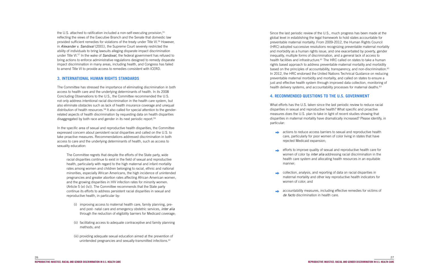Since the last periodic review of the U.S., much progress has been made at the global level in establishing the legal framework to hold states accountable for preventable maternal mortality. From 2009-2012, the Human Rights Council (HRC) adopted successive resolutions recognizing preventable maternal mortality and morbidity as a human rights issue, and one exacerbated by poverty, gender inequality, multiple forms of discrimination, and a general lack of access to health facilities and infrastructure.<sup>61</sup> The HRC called on states to take a human rights based approach to address preventable maternal mortality and morbidity based on the principles of accountability, transparency, and non-discrimination.<sup>62</sup> In 2012, the HRC endorsed the United Nations Technical Guidance on reducing preventable maternal morbidity and mortality, and called on states to ensure a just and effective health system through improved data collection, monitoring of health delivery systems, and accountability processes for maternal deaths.<sup>63</sup>

**actions to reduce access barriers to sexual and reproductive health** care, particularly for poor women of color living in states that have

efforts to improve quality of sexual and reproductive health care for women of color by *inter alia* addressing racial discrimination in the health care system and allocating health resources in an equitable

## **4. RECOMMENDED QUESTIONS TO THE U.S. GOVERNMENT**

What efforts has the U.S. taken since the last periodic review to reduce racial disparities in sexual and reproductive health? What specific and proactive measures does the U.S. plan to take in light of recent studies showing that disparities in maternal mortality have dramatically increased? Please identify, in particular:

the U.S. attached to ratification included a non-self-executing provision,<sup>55</sup> reflecting the views of the Executive Branch and the Senate that domestic law provided sufficient remedies for violations of the treaty under Title VI.56 However, in *Alexander v. Sandoval* (2001), the Supreme Court severely restricted the ability of individuals to bring lawsuits alleging disparate impact discrimination under Title VI.57 In the wake of *Sandoval,* the federal government has refused to bring actions to enforce administrative regulations designed to remedy disparate impact discrimination in many areas, including health, and Congress has failed to amend Title VI to provide access to remedies consistent with ICERD.

- rejected Medicaid expansion;
- manner;
- $\rightarrow$ women of color; and
- *de facto* discrimination in health care.

collection, analysis, and reporting of data on racial disparities in maternal mortality and other key reproductive health indicators for

accountability measures, including effective remedies for victims of

- (i) improving access to maternal health care, family planning, preand post- natal care and emergency obstetric services, *inter alia* through the reduction of eligibility barriers for Medicaid coverage;
- (ii) facilitating access to adequate contraceptive and family planning methods; and
- (iii) providing adequate sexual education aimed at the prevention of unintended pregnancies and sexually-transmitted infections.<sup>60</sup>

## **3. INTERNATIONAL HUMAN RIGHTS STANDARDS**

The Committee has stressed the importance of eliminating discrimination in both access to health care and the underlying determinants of health. In its 2008 Concluding Observations to the U.S., the Committee recommended the U.S. not only address intentional racial discrimination in the health care system, but also eliminate obstacles such as lack of health insurance coverage and unequal distribution of health resources.<sup>58</sup> It also called for special attention to the genderrelated aspects of health discrimination by requesting data on health disparities disaggregated by both race and gender in its next periodic report.59

In the specific area of sexual and reproductive health disparities, the Committee expressed concern about persistent racial disparities and called on the U.S. to take proactive measures. Recommendations addressed discrimination in both access to care and the underlying determinants of health, such as access to sexuality education:

The Committee regrets that despite the efforts of the State party, wide racial disparities continue to exist in the field of sexual and reproductive health, particularly with regard to the high maternal and infant mortality rates among women and children belonging to racial, ethnic and national minorities, especially African Americans, the high incidence of unintended pregnancies and greater abortion rates affecting African American women, and the growing disparities in HIV infection rates for minority women. (Article 5 (e) (iv)). The Committee recommends that the State party continue its efforts to address persistent racial disparities in sexual and reproductive health, in particular by: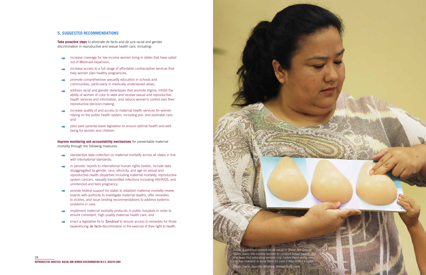## **5. SUGGESTED RECOMMENDATIONS**

**Take proactive steps** to eliminate de facto and de jure racial and gender discrimination in reproductive and sexual health care, including:

- increase coverage for low-income women living in states that have opted  $\rightarrow$ out of Medicaid expansion;
- increase access to a full range of affordable contraceptive services that  $\begin{array}{c} \begin{array}{c} \multicolumn{1}{c} \end{array} \end{array}$ help women plan healthy pregnancies;
- promote comprehensive sexuality education in schools and  $\rightarrow$ communities, particularly in medically underserved areas;
- address racial and gender stereotypes that promote stigma, inhibit the  $\begin{array}{c}\n\hline\n\end{array}$ ability of women of color to seek and receive sexual and reproductive health services and information, and reduce women's control over their reproductive decision-making;
- increase quality of and access to maternal health services for women relying on the public health system, including pre- and postnatal care; and
- pass paid parental leave legislation to ensure optimal health and wellbeing for women and children.

**Improve monitoring and accountability mechanisms** for preventable maternal mortality through the following measures:



- standardize data collection on maternal mortality across all states in line  $\rightarrow$ with international standards:
- in periodic reports to international human rights bodies, include data  $\Rightarrow$ disaggregated by gender, race, ethnicity, and age on sexual and reproductive health disparities including maternal mortality, reproductive system cancers, sexually transmitted infections including HIV/AIDS, and unintended and teen pregnancy;
- provide federal support for states to establish maternal mortality review  $\Rightarrow$ boards with authority to investigate maternal deaths, offer remedies to victims, and issue binding recommendations to address systemic problems in care;
- implement maternal mortality protocols in public hospitals in order to  $\begin{array}{c}\n\bullet \\
\bullet\n\end{array}$ ensure consistent, high quality maternal health care; and
- enact a legislative fix to *Sandoval* to ensure access to remedies for those experiencing *de facto* discrimination in the exercise of their right to health.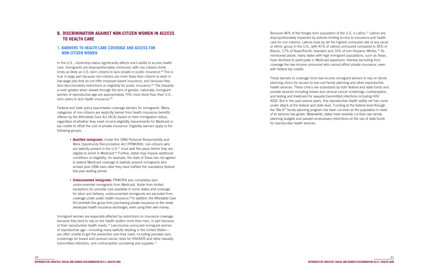Because 46% of the foreign-born population of the U.S. is Latino,<sup>72</sup> Latinos are disproportionately impacted by policies limiting access to insurance and health care for non-citizens. Latinos have by far the highest uninsured rate of any racial or ethnic group in the U.S., with 41% of Latinos uninsured compared to 26% of Blacks, 17% of Asian/Pacific Islanders and 16% of non-Hispanic Whites.73 As mentioned above, many states with high immigrant populations, such as Texas, have declined to participate in Medicaid expansion, thereby excluding from coverage the low-income uninsured who cannot afford private insurance, even with federal tax credits.

In the U.S., citizenship status significantly affects one's ability to access health care. Immigrants are disproportionately uninsured, with non-citizens three times as likely as U.S.-born citizens to lack private or public insurance.<sup>64</sup> This is true in large part because non-citizens are more likely than citizens to work in low-wage jobs that do not offer employer-based insurance, and because they face discriminatory restrictions on eligibility for public insurance.<sup>65</sup> The disparity is even greater when viewed through the lens of gender; nationally, immigrant women of reproductive age are approximately 70% more likely than their U.S. born peers to lack health insurance.<sup>66</sup>

These barriers to coverage force low-income immigrant women to rely on family planning clinics for access to low-cost family planning and other reproductive health services. These clinics are subsidized by both federal and state funds and provide services including breast and cervical cancer screenings, contraception, and testing and treatment for sexually transmitted infections including HIV/ AIDS. But in the past several years, this reproductive health safety net has come under attack at the federal and state level. Funding at the federal level through the Title  $X<sup>74</sup>$  family planning program has been cut even as the population in need of its services has grown. Meanwhile, states have severely cut their own family planning budgets and passed unnecessary restrictions on the use of state funds for reproductive health services.

## **B. DISCRIMINATION AGAINST NON-CITIZEN WOMEN IN ACCESS TO HEALTH CARE**

## **1. BARRIERS TO HEALTH CARE COVERAGE AND ACCESS FOR NON-CITIZEN WOMEN**

Immigrant women are especially affected by restrictions on insurance coverage because they tend to rely on the health system more than men, in part because of their reproductive health needs.<sup>70</sup> Low-income uninsured immigrant women of reproductive age—including many lawfully residing in the United States are often unable to get the preventive care they need, including prenatal care, screenings for breast and cervical cancer, tests for HIV/AIDS and other sexually transmitted infections, and contraceptive counseling and supplies.<sup>71</sup>

Federal and state policy exacerbates coverage barriers for immigrants. Many categories of non-citizens are explicitly barred from health insurance benefits offered by the Affordable Care Act (ACA) based on their immigration status, regardless of whether they meet income eligibility requirements for Medicaid or tax credits to offset the cost of private insurance. Eligibility barriers apply to the following groups:

- **Qualified immigrants:** Under the 1996 Personal Responsibility and Work Opportunity Reconciliation Act (PRWORA), non-citizens who are lawfully present in the U.S.<sup>67</sup> must wait five years before they are eligible to enroll in Medicaid.68 Further, states may impose additional conditions on eligibility; for example, the state of Texas has not agreed to extend Medicaid coverage to lawfully present immigrants who arrived post-1996 even after they have fulfilled the mandatory federal five-year waiting period.
- **Undocumented immigrants:** PRWORA also completely bars undocumented immigrants from Medicaid. Aside from limited exceptions for prenatal care available in some states and coverage for labor and delivery, undocumented immigrants are excluded from coverage under public health insurance.<sup>69</sup> In addition, the Affordable Care Act prohibits this group from purchasing private insurance on the newly developed health insurance exchanges, even using their own money.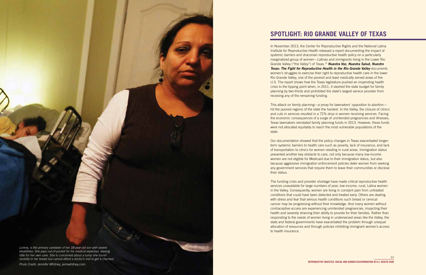## **SPOTLIGHT: RIO GRANDE VALLEY OF TEXAS**



In November 2013, the Center for Reproductive Rights and the National Latina Institute for Reproductive Health released a report documenting the impact of systemic barriers and draconian reproductive health policy on a particularly marginalized group of women—Latinas and immigrants living in the Lower Rio Grande Valley ("the Valley") of Texas.75 *Nuestra Voz, Nuestra Salud, Nuestro Texas: The Fight for Reproductive Health in the Rio Grande Valley documents* women's struggles to exercise their right to reproductive health care in the lower Rio Grande Valley, one of the poorest and least medically served areas of the U.S. The report shows how the Texas legislature pushed an impending health crisis to the tipping point when, in 2011, it slashed the state budget for family planning by two-thirds and prohibited the state's largest service provider from receiving any of the remaining funding.

This attack on family planning—a proxy for lawmakers' opposition to abortion hit the poorest regions of the state the hardest. In the Valley, the closure of clinics and cuts in services resulted in a 72% drop in women receiving services. Facing the economic consequences of a surge of unintended pregnancies and illnesses, Texas lawmakers reinstated family planning funds in 2013. However, these funds were not allocated equitably to reach the most vulnerable populations of the state.

recently in her breast but cannot afford a doctor's visit to get it checked. **33**<br>recently in her breast but cannot afford a doctor's visit to get it checked. *Lorena, is the primary caretaker of her 18-year-old son with severe disabilities. She pays out-of-pocket for his medical expenses, leaving little for her own care. She is concerned about a lump she found* 

Our documentation showed that the policy changes in Texas exacerbated longerterm systemic barriers to health care such as poverty, lack of insurance, and lack of transportation to clinics for women residing in rural areas. Immigration status presented another key obstacle to care, not only because many low-income women are not eligible for Medicaid due to their immigration status, but also because aggressive immigration enforcement policies deter women from seeking any government services that require them to leave their communities or disclose their status.

The funding crisis and provider shortage have made critical reproductive health services unavailable for large numbers of poor, low-income, rural, Latina women in the Valley. Consequently, women are living in constant pain from untreated conditions that could have been detected and treated early. Others are dealing with stress and fear that serious health conditions such breast or cervical cancer may be progressing without their knowledge. And many women without contraceptive access are experiencing unintended pregnancies, impacting their health and severely straining their ability to provide for their families. Rather than responding to the needs of women living in underserved areas like the Valley, the state and federal governments have exacerbated the problem through unequal allocation of resources and through policies inhibiting immigrant women's access to health insurance.

*Photo Credit: Jennifer Whitney, jennwhitney.com.*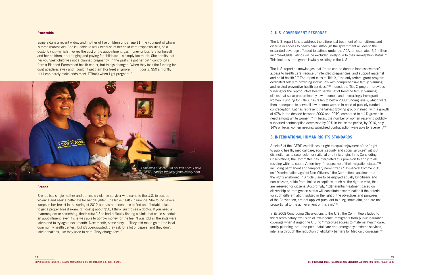Esmeralda is a recent widow and mother of five children under age 11, the youngest of whom is three months old. She is unable to work because of her child care responsibilities, so a doctor's visit—which involves the cost of the appointment, gas money or bus fare for herself and her children, or arranging and paying for childcare—is simply too much. She admits that her youngest child was not a planned pregnancy. In the past she got her birth control pills from a Planned Parenthood health center, but things changed "when they took the funding for contraceptives away and I couldn't get them [for free] anymore.. . . [It costs] \$50 a month, but I can barely make ends meet. [T]hat's when I got pregnant."

## **Esmeralda**

### **Brenda**

The U.S. report acknowledges that "more can be done to increase women's access to health care, reduce unintended pregnancies, and support maternal and child health."77 The report cites to Title X, "the only federal grant program dedicated solely to providing individuals with comprehensive family planning and related preventive health services."78 Indeed, the Title X program provides funding for the reproductive health safety net of frontline family planning clinics that serve predominantly low-income—and increasingly immigrant women. Funding for Title X has fallen to below 2008 funding levels, which were then inadequate to serve all low-income women in need of publicly funded contraception. Latinas represent the fastest growing group in need, with a growth of 47% in the decade between 2000 and 2010, compared to a 4% growth in need among White women.<sup>79</sup> In Texas, the number of women receiving publicly supported contraception decreased by 20% in that same period; by 2010, only 14% of Texas women needing subsidized contraception were able to receive it.<sup>80</sup>

Brenda is a single mother and domestic violence survivor who came to the U.S. to escape violence and seek a better life for her daughter. She lacks health insurance. She found several lumps in her breast in the spring of 2012 but has not been able to find an affordable place to get a proper breast exam. "[It costs] about \$50, I think, just to see a doctor. If you need a mammogram or something, that's extra." She had difficulty finding a clinic that could schedule an appointment, even if she was able to borrow money for the fee. "I was told all the slots were taken and to try again next month. Next month, same story. . . They told me to go to [the local community health center], but it's overcrowded, they ask for a lot of papers, and they don't take donations, like they used to here. They charge fees."

## **2. U.S. GOVERNMENT RESPONSE**

The U.S. report fails to address the differential treatment of non-citizens and citizens in access to health care. Although the government alludes to the expanded coverage afforded to Latinos under the ACA, an estimated 6.5 million income-eligible Latinos will be excluded solely due to their immigration status.<sup>76</sup> This includes immigrants lawfully residing in the U.S.

## **3. INTERNATIONAL HUMAN RIGHTS STANDARDS**

Article 5 of the ICERD establishes a right to equal enjoyment of the "right to public health, medical care, social security and social services" without distinction as to race, color, or national or ethnic origin. In its Concluding Observations, the Committee has interpreted this provision to apply to all residing within a country's territory, "irrespective of their migration status,"81 including permanent and temporary non-citizens.<sup>82</sup> In General Comment 30 on "Discrimination against Non-Citizens," the Committee explained that the rights enshrined in Article 5 are to be enjoyed equally by citizens and non-citizens, aside from limited exceptions, such as the right to vote, that are reserved for citizens. Accordingly, "[d]ifferential treatment based on citizenship or immigration status will constitute discrimination if the criteria for such differentiation, judged in the light of the objectives and purposes of the Convention, are not applied pursuant to a legitimate aim, and are not proportional to the achievement of this aim."83

In its 2008 Concluding Observations to the U.S., the Committee alluded to the discriminatory exclusion of low-income immigrants from public insurance coverage when it urged the U.S. to "improv[e] access to maternal health care, family planning, pre- and post- natal care and emergency obstetric services, inter alia through the reduction of eligibility barriers for Medicaid coverage."84

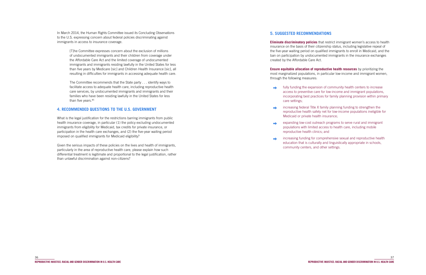In March 2014, the Human Rights Committee issued its Concluding Observations to the U.S. expressing concern about federal policies discriminating against immigrants in access to insurance coverage.

> The Committee recommends that the State party . . . identify ways to facilitate access to adequate health care, including reproductive health care services, by undocumented immigrants and immigrants and their families who have been residing lawfully in the United States for less than five years.<sup>85</sup>

[T]he Committee expresses concern about the exclusion of millions of undocumented immigrants and their children from coverage under the Affordable Care Act and the limited coverage of undocumented immigrants and immigrants residing lawfully in the United States for less than five years by Medicare [sic] and Children Health Insurance [sic], all resulting in difficulties for immigrants in accessing adequate health care.

## **4. RECOMMENDED QUESTIONS TO THE U.S. GOVERNMENT**

What is the legal justification for the restrictions barring immigrants from public health insurance coverage, in particular (1) the policy excluding undocumented immigrants from eligibility for Medicaid, tax credits for private insurance, or participation in the health care exchanges, and (2) the five-year waiting period imposed on qualified immigrants for Medicaid eligibility?

- $\rightarrow$ care settings;
- Medicaid or private health insurance;
- $\rightarrow$ reproductive health clinics; and
- $\Rightarrow$ community centers, and other settings.

Given the serious impacts of these policies on the lives and health of immigrants, particularly in the area of reproductive health care, please explain how such differential treatment is legitimate and proportional to the legal justification, rather than unlawful discrimination against non-citizens?

## **5. SUGGESTED RECOMMENDATIONS**

**Eliminate discriminatory policies** that restrict immigrant women's access to health insurance on the basis of their citizenship status, including legislative repeal of the five-year waiting period on qualified immigrants to enroll in Medicaid, and the ban on participation by undocumented immigrants in the insurance exchanges created by the Affordable Care Act.

**Ensure equitable allocation of reproductive health resources** by prioritizing the most marginalized populations, in particular low-income and immigrant women, through the following measures:

fully funding the expansion of community health centers to increase access to preventive care for low-income and immigrant populations, incorporating best practices for family planning provision within primary

increasing federal Title X family planning funding to strengthen the reproductive health safety net for low-income populations ineligible for

expanding low-cost outreach programs to serve rural and immigrant populations with limited access to health care, including mobile

increasing funding for comprehensive sexual and reproductive health education that is culturally and linguistically appropriate in schools,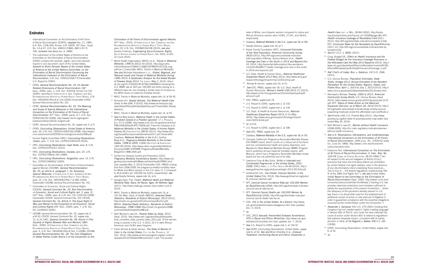- <sup>1</sup> International Convention on the Flimination of All Forms of Racial Discrimination (ICERD), *adopted* Dec. 21, 1965, G.A. Res. 2106 (XX), Annex, U.N. GAOR, 20th Sess., Supp. No. 14 at 47, U.N. Doc. A/6014 (1966), 660 U.N.T.S. 195, (*entered into force* Jan. 4, 1969).
- <sup>2</sup> The submission of the United States of America to the Committee on the Elimination of Racial Discrimination (CERD) contains the seventh, eighth, and ninth periodic reports in one document. Gov't of the United States, *Seventh to Ninth Periodic Report of the United States of America to the United Nations Committee. on the Elimination of Racial Discrimination Concerning the International Covenant on the Elimination of Racial Discrimination*, U.N. Doc. CERD/C/USA/7-9 [hereinafter U.S. Report to CERD].
- <sup>3</sup> CERD, *General Recommendation No. 25, On Gender-Related Dimensions of Racial Discrimination*, (56th Sess., 2000), para. 1, U.N. Doc. A/55/18, Annex V at 152 (2000), reprinted in Compilation of Gen. Comments and Gen. RECOMMENDATIONS ADOPTED BY HUMAN RIGHTS TREATY BODIES, U.N. Doc. HRI/GEN/1/Rev.6 at 214 (2003) [hereinafter CERD, General Recommendation No. 25].
- <sup>4</sup> CERD, *General Recommendation No. 32, The Meaning and Scope of Special Measures in the International Convention on the Elimination of All Forms of Racial Discrimination*, (57th Sess., 2009), paras. 6-7, U.N. Doc. CERD/C/GC/32 (2009), http://www2.ohchr.org/english/ bodies/cerd/docs/GC32\_English.pdf.
- <sup>5</sup> CERD, General Recommendation No. 25, *supra* note 3, at 3.
- <sup>6</sup> CERD, *Concluding Observations: United States of America*, para. 33, U.N. Doc. CERD/C/USA/CO/6 (2008), http://www1. umn.edu/humanrts/CERDConcludingComments2008.pdf.
- <sup>7</sup> Human Rights Committee (HRC), *Concluding Observations: Jordan*, para. 7, U.N. Doc. CCPR/C/JOR/CO/4 (2010).
- <sup>8</sup> HRC, *Concluding Observations: Cape Verde*, para. 8, U.N. Doc. CCPR/C/CPV/CO/1 (2012).
- <sup>9</sup> HRC, *Concluding Observations: Canada*, para. 20, U.N. Doc. CCPR/C/79/Add.105 (1999).
- <sup>10</sup> HRC, *Concluding Observations: Kyrgyzstan*, para. 13, U.N. Doc. CCPR/CO/69/KGZ (2000).
- <sup>11</sup> Committee on the Elimination of All Forms of Discrimination against Women (CEDAW), *General Recommendation No. 25, on article 4, paragraph 1, On Temporary*  Special Measures, in COMPILATION OF GEN. COMMENTS & GEN. RECOMMENDATIONS ADOPTED BY HUMAN RIGHTS TREATY BODIES, para. 10, U.N. Doc. HRI/GEN/1/Rev.7 at 282 (2004) [hereinafter CEDAW, General Recommendation No. 25].
- <sup>12</sup> Committee on Economic, Social and Cultural Rights (CESCR), *General Comment No. 20, Non-Discrimination in Economic, Social and Cultural Rights (art. 2, para. 2)* (42nd Sess., 2009), para. 8, U.N. Doc. E/C.12/GC/20 (2009) [hereinafter CESCR, General Comment No. 20]; CESCR, *General Comment No. 16, Article 3: The Equal Right of Men and Women to the Enjoyment of all Economic, Social and Cultural Rights* (34th Sess., 2005), para. 7, U.N. Doc. E/C.12/2005/3 (2005).
- <sup>13</sup> CEDAW, General Recommendation No. 25, *supra* note 3, at 8-10; CESCR, General Comment No. 20, *supra* note 12, at 10; HRC, *General Comment No. 28: Article 3 (The Equality of Rights Between Men and Women)*, (68th Sess., 2000), *in* COMPILATION OF GEN. COMMENTS AND GEN. RECOMMENDATIONS ADOPTED BY HUMAN RIGHTS TREATY BODIES, para. 3, U.N. Doc. HRI/GEN/1/Rev.9 (Vol. I) (2008); CEDAW, *General Recommendation No. 28: The Core Obligations of States Parties Under Article 2 of the Convention on the*

*Elimination of All Forms of Discrimination against Women*, (47<sup>th</sup> Sess., 2010), *in* Compilation of Gen. Comments and Gen.

RECOMMENDATIONS ADOPTED BY HUMAN RIGHTS TREATY BODIES, para. 20, U.N. Doc. CEDAW/C/GC/28 (2010); *see also* Sandra Fredman, *Engendering Socio-Economic Rights*, South African Journal on Human Rights, Vol. 25(3), at 421- 22 (June 2010).

**Endnotes** rates of White, non-Hispanic women compared to Latina and African American women were 10.8%, 27.9%, and 28.6%, respectively.

Health Care, INST. OF MED., 83-84 (2002), http://books. nap.edu/openbook.php?record\_id=10260&page=80; KFF, *Health Insurance Coverage of Nonelderly 0-64* (2011- 2012), http://kff.org/other/state-indicator/nonelderly-0-64/; KFF, *Uninsured Rates for the Nonelderly by Race/Ethnicity* (2011-12), http://kff.org/uninsured/state-indicator/rate-byraceethnicity/.

- <sup>14</sup> World Health Organization (WHO), et al ., *Trends in Maternal Mortality: 1990 to 2013*, 43 (2014), http://apps.who. int/iris/bitstream/10665/112682/2/9789241507226\_eng. pdf?ua=1 [hereinafter WHO, Trends in Maternal Mortality]. See also Nicholas Kassebaum ET AL., *Global, Regional, and National Levels and Causes of Maternal Mortality During 1990–2013: A Systematic Analysis for the Global Burden*  of Disease Study 2013, THE LANCET (May 2, 2014), http:// dx.doi.org/10.1016/S0140-6736(14)60696-6 (showing the U.S. MMR rate at 18.5 per 100,000 live births relying on a different data set, but showing a similar level of increase as the WHO study on maternal mortality trends).
- <sup>15</sup> WHO, Trends in Maternal Mortality, *supra* note 14, at 34-35.
- <sup>16</sup> Amnesty Int'l, *Deadly Delivery: The Maternal Health Care Crisis in the USA*, 3 (2010), http://www.amnestyusa.org/ sites/default/files/pdfs/deadlydelivery.pdf [hereinafter Deadly Delivery].
- <sup>17</sup> WHO, Trends in Maternal Mortality, *supra* note 14, at 43.
- <sup>18</sup> *See* Ina May Gaskin, *Maternal Death in the United States:*  A Problem Solved or a Problem Ignored?, 17 J. PERINATAL Edu . 9-13 (2008), http://www.ncbi.nlm.nih.gov/pmc/articles/ PMC2409165/pdf/JPE170009.pdf; Francine Coeytaux et al., *Maternal Mortality in the United States: A Human Rights*  Failure, 83 CONTRACEPTION 189-93 (2011), http://www.arhp. org/UploadDocs/journaleditorialmar2011.pdf [hereinafter Coeytaux, *Maternal Mortality in the U.S*.]; Cynthia Berg et al ., *Pregnancy-Related Mortality in the United*  States, 1998 to 2005, 116(6) OBSTETRICS & GYNECOLOGY 1302-09 (2010), http://www.cdph.ca.gov/data/statistics/ Documents/MO-CAPAMR-PregnancyRelatedMortality-Berg2010-1998-2005.pdf.
- <sup>19</sup> Centers for Disease Control and Prevention (CDC), *Pregnancy Mortality Surveillance System*, http://www.cdc. gov/reproductivehealth/MaternalInfantHealth/PMSS.html (last updated Mar. 3, 2014) [hereinafter CDC, PMSS] (noting that from 2006-2009, the pregnancy-related mortality ratios for White and Black women in the U.S. were 11.7 compared to 35.6 deaths per 100,000 live births, respectively); *see also* Deadly Delivery, *supra* note 16, at 6.
- <sup>20</sup> Georgia Dept. Pub. Health, *Maternal Death and Maternal Mortality Rate, Race: All Races, Ages: All Mothers Ages* (2011), http://oasis.state.ga.us/oasis (last visited June 4, 2014).
- <sup>21</sup> WHO, Trends in Maternal Mortality, *supra* note 14, at 131-34; Miss. Dept. of Health (MSDH), *Selected Death Statistics, Residents of District Mississippi, 2012* (2012), http://msdh.ms.gov/phs/2012/Summary/dthst12.pdf; MSDH, *Selected Death Statistics, Residents of District Mississippi, 1998* (1998) http://msdh.ms.gov/phs/1998/ summary/death/state/dthst98.pdf.
- <sup>22</sup> Nat'l Women's Law Ctr., *Poverty Rates by State, 2012* (Sept. 2013), http://www.nwlc.org/sites/default/files/pdfs/ final\_compiled\_state\_poverty\_table\_2012.pdf. Of the women living in poverty in the U.S. in 2012, 25.1% were African American and 24.8% were Hispanic.
- <sup>23</sup> Farah Ahmad & Sarah Iverson, *The State of Women of*  Color in the United States, CTR. FOR AM. PROGRESS, 12 (Oct. 2013), http://www.americanprogress.org/wp-content/ uploads/2013/10/StateOfWomenColor-1.pdf. The poverty
- <sup>24</sup> Coeytaux, *Maternal Mortality in the U.S*., *supra* note 18, at 190.
- <sup>25</sup> Deadly Delivery, *supra* note 16, at 7.
- <sup>26</sup> Kaiser Family Foundation (KFF), *Uninsured Estimates of the Total Population, American Community Survey (ACS)* (2012), http://kff.org/uninsured/state-indicator/ total-population-2/#map; Jessica Stevens et al., *Health Coverage and Care in the South in 2014 and Beyond* (Apr. 24, 2014), http://kaiserfamilyfoundation.files.wordpress. com/2014/04/8577-health-coverage-and-care-in-the-southin-2014-and-beyond1.pdf.
- <sup>27</sup> U.S. Dept. Health & Human Servs., *National Healthcare Disparities Report 2012* (May 2013), http://www.ahrq.gov/ research/findings/nhqrdr/nhqr12/2012nhqr.pdf.
- 28 Ahmad & Iverson, *supra* note 23, at 15.
- <sup>29</sup> *See* CDC, PMSS, *supra* note 19; U.S. Dept. Health & Human Resources, *Women's Health USA 2012*, 51 (2013), http://www.mchb.hrsa.gov/whusa12/more/downloads/pdf/ whusa12.pdf.
- <sup>30</sup> CDC, PMSS, *supra* note 19.
- <sup>31</sup> U.S. Report to CERD, *supra* note 2, at 133.
- <sup>32</sup> U.S. Report to CERD, *supra* note 2, at 134.
- <sup>33</sup> U.S. Dept. of Health & Human Resources, *National Healthcare Disparities Report 2013*, H-14 (May 2014), http://www.ahrq.gov/research/findings/nhqrdr/ nhdr13/2013nhdr.pdf.
- <sup>34</sup> *Id*. at H-6.
- <sup>35</sup> U.S. Report to CERD, *supra* note 2, at 196.
- <sup>36</sup> *See* CDC, PMSS, *supra* note 19.
- <sup>37</sup> Coeytaux, *Maternal Mortality in the U.S*., *supra* note 18, at 191. 38 Compare California's Pregnancy-Associated Mortality Review (CA-PAMR) board, which counts on a robust set of functions and has comprehensive health and policy objectives, and Maryland's State Maternal Mortality Review (MMR) Program, which publishes annual maternal mortality reports, with Missouri, which has a Pregnancy Associated Mortality review board but has not published any of its data.
- <sup>39</sup> Lawrence Finer & Mia Zolna, *Shifts in Intended and Unintended Pregnancies in the United States, 2001- 2008*, 104(1) Ame r. J. of Pub. Healt <sup>h</sup> 45-46 (2014), http:// www.guttmacher.org/pubs/journals/ajph.2013.301416.pdf.
- <sup>40</sup> Guttmacher Inst., *Fact Sheet: Induced Abortion in the United States* (Feb. 2014), http://www.guttmacher.org/pubs/ fb\_induced\_abortion.pdf.
- <sup>41</sup> KFF, *Cervical Cancer Incidence Rate per 100,000 Women by Race/Ethnicity* (2009), http://kff.org/other/state-indicator/ cervical-cancer-rate-by-re/.
- <sup>42</sup> KFF, *Cervical Cancer Deaths per 100,000 Women by Race/Ethnicity* (2009), http://kff.org/other/state-indicator/ cervical-cancer-death-rate-by-re/.
- <sup>43</sup> CDC, *HIV in the United States: At a Glance*, http://www. cdc.gov/hiv/statistics/basics/ataglance.html (last updated Dec. 3, 2013).
- <sup>44</sup> *Id* .
- <sup>45</sup> CDC, *2012 Sexually Transmitted Diseases Surveillance, STD in Racial and Ethnic Minorities*, http://www.cdc.gov/ std/stats12/minorities.htm (last updated Jan. 7, 2014).
- <sup>46</sup> *See* U.S. Report to CERD, *supra* note 2, at 133-37.
- 47 *See* CERD, Concluding Observations: United States, *supra* note 6, at 32. *See also* Brian Smedley et al., *Unequal Treatment: Confronting Racial and Ethnic Disparities in*
- <sup>48</sup> *See* 42 U.S.C. § 18081 (2011).
- <sup>49</sup> Cong. Budget Off., *Effect on Health Insurance and the Federal Budget for the Insurance Coverage Provisions in the Affordable Care Act-May 2013 Baseline* (2013), http:// www.cbo.gov/sites/default/files/cbofiles/attachments/44190\_ EffectsAffordableCareActHealthInsuranceCoverage\_2.pdf.
- <sup>50</sup> *Nat'l Fed'n of Indep. Bus. v. Sebelius*, 132 S.Ct. 2566 (2012).
- <sup>51</sup> U.S. Census Bureau, *Population Estimates, State Totals: Vintage 2013, Annual Estimates of the Resident Population for the United States, Regions, States, and Puerto Rico: April 1, 2010 to July 1, 2013* (2013), http:// www.census.gov/popest/data/state/totals/2013/index.html.
- <sup>52</sup> Alemayehu Bishaw, *Poverty: 2000 to 2012, American Community Survey Briefs*, U.S. Census Bureau (Sept. 2013), https://www.census.gov/prod/2013pubs/acsbr12-01. pdf; KFF, *Status of State Action on the Medicaid Expansion Decision, as of March 26, 2014* (2014), http:// kff.org/health-reform/state-indicator/state-activity-aroundexpanding-medicaid-under-the-affordable-care-act/#note-2.
- <sup>53</sup> *See* Poverty USA, U.S. Poverty Map (2011), http://www. povertyusa.org/the-state-of-poverty/poverty-map-state/ (last visited May 30, 2014).
- <sup>54</sup> Nat'l Women's Law Ctr., *Women without Health Insurance* (2008-2009), http://hrc.nwlc.org/status-indicators/womenwithout-health-insurance.
- <sup>55</sup> *See U.S. Reservations, Declarations, and Understandings, International Convention on the Elimination of All Forms*  of Racial Discrimination, 140th Cong. REC. S7634-02 (daily ed., June 24, 1994), http://www1.umn.edu/humanrts/ usdocs/racialres.html.
- <sup>56</sup> Claiborne Pell, *International Convention on The Elimination of All Forms of Racial Discrimination, S. Exec. Rep. No.*  103-29, COMM. ON FOREIGN RELATIONS, 28-29 (1994) ("[W] ith respect to the second obligation of Article 2(1)(c), practices that have discriminatory effects are prohibited by certain federal civil rights statutes, even in the absence of any discriminatory intent underlying those practices.... This is true of ... the federal regulations implementing Title VI of the 1964 Civil Rights Act."); *see also* United States, *Initial Report to the Committee on the Elimination of Racial Discrimination* (Sept. 2000), http://www1.umn.edu/ humanrts/usdocs/cerdinitial.html#treaty ("existing U.S. law provides extensive protections and remedies sufficient to satisfy the requirements of the present Convention.... Given the adequacy of the provisions already present in U.S. law, there is no discernible need for the establishment of additional causes of action or new avenues of litigation in order to guarantee compliance with the essential obligations assumed by the United States under the Convention.").
- <sup>57</sup> *Alexander v. Sandoval*, 532 U.S. 275 (2001) (holding that Congress had not created explicit "rights creating language" in Section 602 of Title VI, and could not have intended the cause of action under Section 601 to extend to regulations that address disparate impact, consistent with its earlier decision in *Univ. of CA Regents v. Bakke*, 438 U.S. 265 (1978)).
- <sup>58</sup> CERD, Concluding Observations: United States, *supra* note 6, at 32.
- <sup>59</sup> *Id.*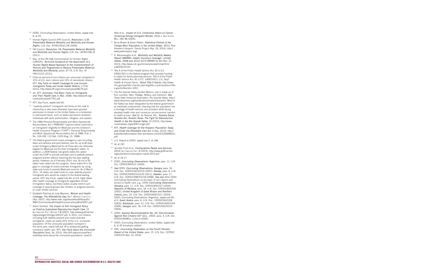- <sup>60</sup> CERD, Concluding Observations: United States, *supra* note 6, at 33.
- <sup>61</sup> Human Rights Council (HR Council), *Resolution 11/8: Preventable Maternal Mortality and Morbidity and Human Rights*, U.N. Doc. A/HRC/RES/11/8 (2009).
- <sup>62</sup> HR Council, *Resolution 18: Preventable Maternal Mortality and Morbidity and Human Rights*, U.N. Doc. A/HRC/18/L.8 (2011).
- <sup>63</sup> Rep. of the UN High Commissioner for Human Rights (UNHCR), *Technical Guidance on the Application of a Human Rights-Based Approach to the Implementation of Policies and Programmes to Reduce Preventable Maternal Morbidity and Mortality*, paras. 67-73, U.N. Doc. A/ HRC/21/22 (2012).
- <sup>64</sup> Forty-six percent of non-citizens are uninsured compared to 15% of U.S.-born citizens and 23% of naturalized citizens. KFF, *Key Facts on Health Coverage for Low-Income Immigrants Today and Under Health Reform,* 2 (Feb. 2012), http://www.kff.org/uninsured/upload/8279.pdf.
- <sup>65</sup> *Id.*; KFF, *Summary: Five Basic Facts on Immigrants and Their Health Care*, 6 (Mar. 2008), http://www.kff.org/ medicaid/upload/7761.pdf.
- <sup>66</sup> KFF, Key Facts, *supra* note 64.
- <sup>67</sup> "Lawfully present" immigrants are those on the road to citizenship or who have otherwise have been granted permission to remain in the United States on a temporary or permanent basis, such as lawful permanent residents, individuals with work authorization, refugees, and asylees.
- <sup>68</sup> The 1996 Personal Responsibility and Work Opportunity Reconciliation Act ("PRWORA") placed further restrictions on immigrants' eligibility for Medicaid and the Children's Health Insurance Program ("CHIP"). Personal Responsibility and Work Opportunity Reconciliation Act of 1996, Pub. L. No. 104-193, 110 Stat. 2105 (Aug. 22, 1996).
- <sup>69</sup> The federal government covers emergency care including labor and delivery and post-delivery care for up to 60 days under Emergency Medicaid for all those who are otherwise eligible for Medicaid but for their immigration status. In addition, a 2009 federal rule grants states the option under the CHIP to provide prenatal care to lawfully present pregnant women without requiring the five-year waiting period. However, as of February 2014, only 16 out of 50 states have opted into this program. Some states fill in the gaps in coverage of undocumented immigrants by using state-only funds to provide Medicaid services. As of March 2011, 15 states use state funds to cover lawfully-present immigrants who would be subject to the federal waiting period. KFF, Key Facts, *supra* note 64, at 5-6. Eight states offer health coverage to immigrants regardless of their immigration status, but these states usually restrict such coverage to special groups like children or pregnant women, or cover limited services.
- <sup>70</sup> Elizabeth Patchias & Judy Waxman, *Women and Health Coverage: The Affordability Gap*, Nat'l Women's Law Ctr., (Apr. 2007), http://www.nwlc.org/sites/default/files/pdfs/ NWLCCommonwealthHealthInsuranceIssueBrief2007.pdf.
- <sup>71</sup> Adam Sonfield, *The Impact of Anti-Immigrant Policy on Publicly Subsidized Reproductive Health Care*, 10 Guttmacher Pol'y Review 7-8 (2007), http://www.guttmacher. org/pubs/gpr/10/1/gpr100107.pdf. In 2012, non-citizens, including both lawfully present and undocumented immigrants, made up nearly 20% of the U.S. uninsured population. Of the uninsured population surveyed in the same year, nearly half put off or postponed getting necessary health care. KFF, *Key Facts about the Uninsured Population* (Sept. 26, 2013), http://kff.org/uninsured/factsheet/key-facts-about-the-uninsured-population/; Israel D.

Alba et al., *Impact of U.S. Citizenship Status on Cancer Screening Among Immigrant Women*, 20(3) J. Gen Intern Med. 290–96 (2005).

- <sup>72</sup> Anna Brown & Eileen Patten, *Statistical Portrait of the Foreign-Born Population in the United States, 2012*, Pew Research Hispanic Trends Project (Apr. 29, 2014), http:// www.pewhispanic.org/.
- <sup>73</sup> R. Moonesinghe et al., *Morbidity and Mortality Weekly Report (MMWR): Health Insurance Coverage—United States, 2008 and 2010*, 62(3) MMWR 61-64 (Nov. 22, 2013), http://www.cdc.gov/mmwr/preview/mmwrhtml/ su6203a10.htm.
- <sup>74</sup> Title X of the Public Health Service Act, 42 U.S.C. §300(1001) is the federal program that provides funding to states for family planning services. Title X of the Public Health Service Act, 42 U.S.C. §300(1001); U.S. Dep't Health & Human Servs., *About Title X Grants*, http://www. hhs.gov/opa/title-x-family-planning/title-x-policies/about-titlex-grants/#section-1001.
- <sup>75</sup> The Rio Grande Valley borders Mexico, and is made up of four counties: Starr, Hidalgo, Willacy, and Cameron. *See* Texas State Historical Association, Rio Grande Valley, http:// www.tshaonline.org/handbook/online/articles/ryr01. Most of the Valley has been designated by the federal government as medically underserved, meaning that the population has a shortage of health services and providers while facing elevated health risks and numerous socioeconomic barriers to health access. *See* Ctr. for Reprod. Rts., *Nuestra Salud, Nuestra Voz, Nuestro Texas: The Fight for Reproductive Health in the Rio Grande Valley*, 15 (2013), http://www. nuestrotexas.org/pdf/NT-single.pdf.
- <sup>76</sup> KFF, *Health Coverage for the Hispanic Population Today and Under the Affordable Care Act*, 4 (Apr. 2013), http:// kaiserfamilyfoundation.files.wordpress.com/2013/04/84321. pdf.
- <sup>77</sup> U.S. Report to CERD, *supra* note 2, at 196.
- <sup>78</sup> *Id.* at 197.
- <sup>79</sup> Jennifer Frost et al., *Contraceptive Needs and Services, 2010*, Guttmacher Inst. 8 (2013), http://www.guttmacher. org/pubs/win/contraceptive-needs-2010.pdf.
- <sup>80</sup> *Id.* at 16-17.
- <sup>81</sup> CERD, *Concluding Observations: Argentina*, para. 11, U.N. Doc. CERD/C/65/Co/1 (2004).
- <sup>82</sup> *See* CERD, *Concluding Observations: Georgia*, para. 16, U.N. Doc. CERD/C/GEO/CO/3 (2007); *Norway*, para. 9, U.N. Doc. CERD/C/NOR/CO/19-20 (2011); *Sweden*, para. 17, U.N. Doc. CERD/C/SWE/CO/18 (2008). *See also* other CERD Concluding Observations on the topic of non-citizens and access to health care, e.g., CERD *Concluding Observations: Slovakia*, para. 11, U.N. Doc. CERD/C/65/CO/7 (2004); *Republic of Moldova*, para. 18, U.N. Doc. CERD/C/60/CO/9 (2002); *United Kingdom of Great Britain and Northern Ireland*, para. 23, U.N. Doc. CERD/C/63/CO/11 (2003); CERD, Concluding Observations: Argentina, *supra* note 81, at 5; *Saudi Arabia*, para. 6, U.N. Doc., CERD/C/62/CO/8 (2003); *Azerbaijan*, para. 12, U.N. Doc. CERD/C/AZE/CO/4 (2005); *Georgia*, para. 16, U.N. Doc. CERD/C/GEO/CO/3  $(2005)$
- <sup>83</sup> CERD, *General Recommendation No. 30, Discrimination Against Non-Citizens* (64th Sess., 2004), para. 3, U.N. Doc. CERD/C/64/Misc.11/rev.3 (2004).
- <sup>84</sup> CERD, Concluding Observations: United States, *supra* note 6, at 33 (emphasis added).
- <sup>85</sup> HRC, *Concluding Observation on the Fourth Periodic Report of the United States*, para. 15, U.N. Doc. CCPR/C/ USA/CO/4 (Apr. 23, 2014).